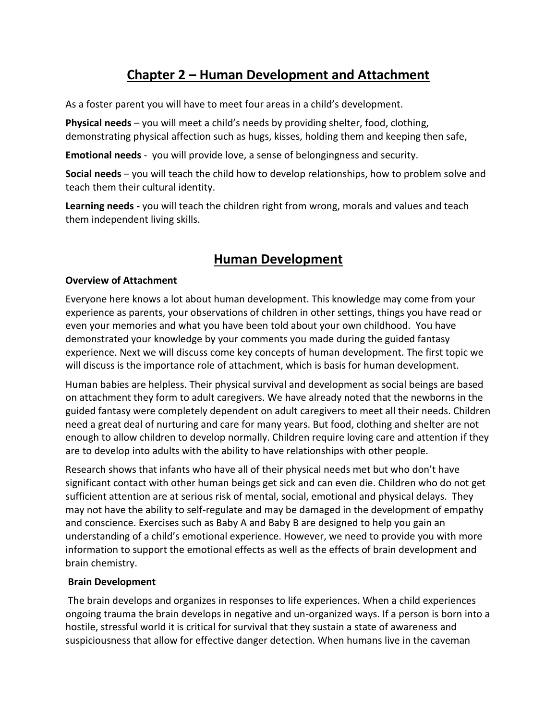# **Chapter 2 – Human Development and Attachment**

As a foster parent you will have to meet four areas in a child's development.

**Physical needs** – you will meet a child's needs by providing shelter, food, clothing, demonstrating physical affection such as hugs, kisses, holding them and keeping then safe,

**Emotional needs** - you will provide love, a sense of belongingness and security.

**Social needs** – you will teach the child how to develop relationships, how to problem solve and teach them their cultural identity.

**Learning needs -** you will teach the children right from wrong, morals and values and teach them independent living skills.

# **Human Development**

## **Overview of Attachment**

Everyone here knows a lot about human development. This knowledge may come from your experience as parents, your observations of children in other settings, things you have read or even your memories and what you have been told about your own childhood. You have demonstrated your knowledge by your comments you made during the guided fantasy experience. Next we will discuss come key concepts of human development. The first topic we will discuss is the importance role of attachment, which is basis for human development.

Human babies are helpless. Their physical survival and development as social beings are based on attachment they form to adult caregivers. We have already noted that the newborns in the guided fantasy were completely dependent on adult caregivers to meet all their needs. Children need a great deal of nurturing and care for many years. But food, clothing and shelter are not enough to allow children to develop normally. Children require loving care and attention if they are to develop into adults with the ability to have relationships with other people.

Research shows that infants who have all of their physical needs met but who don't have significant contact with other human beings get sick and can even die. Children who do not get sufficient attention are at serious risk of mental, social, emotional and physical delays. They may not have the ability to self-regulate and may be damaged in the development of empathy and conscience. Exercises such as Baby A and Baby B are designed to help you gain an understanding of a child's emotional experience. However, we need to provide you with more information to support the emotional effects as well as the effects of brain development and brain chemistry.

### **Brain Development**

The brain develops and organizes in responses to life experiences. When a child experiences ongoing trauma the brain develops in negative and un-organized ways. If a person is born into a hostile, stressful world it is critical for survival that they sustain a state of awareness and suspiciousness that allow for effective danger detection. When humans live in the caveman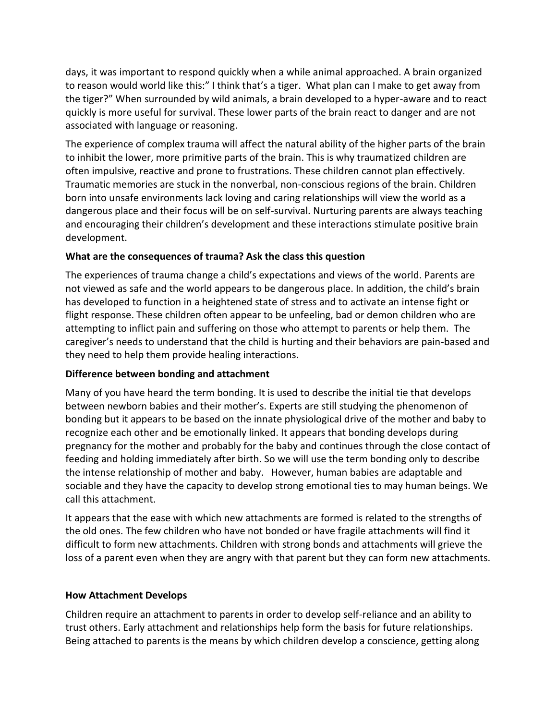days, it was important to respond quickly when a while animal approached. A brain organized to reason would world like this:" I think that's a tiger. What plan can I make to get away from the tiger?" When surrounded by wild animals, a brain developed to a hyper-aware and to react quickly is more useful for survival. These lower parts of the brain react to danger and are not associated with language or reasoning.

The experience of complex trauma will affect the natural ability of the higher parts of the brain to inhibit the lower, more primitive parts of the brain. This is why traumatized children are often impulsive, reactive and prone to frustrations. These children cannot plan effectively. Traumatic memories are stuck in the nonverbal, non-conscious regions of the brain. Children born into unsafe environments lack loving and caring relationships will view the world as a dangerous place and their focus will be on self-survival. Nurturing parents are always teaching and encouraging their children's development and these interactions stimulate positive brain development.

## **What are the consequences of trauma? Ask the class this question**

The experiences of trauma change a child's expectations and views of the world. Parents are not viewed as safe and the world appears to be dangerous place. In addition, the child's brain has developed to function in a heightened state of stress and to activate an intense fight or flight response. These children often appear to be unfeeling, bad or demon children who are attempting to inflict pain and suffering on those who attempt to parents or help them. The caregiver's needs to understand that the child is hurting and their behaviors are pain-based and they need to help them provide healing interactions.

## **Difference between bonding and attachment**

Many of you have heard the term bonding. It is used to describe the initial tie that develops between newborn babies and their mother's. Experts are still studying the phenomenon of bonding but it appears to be based on the innate physiological drive of the mother and baby to recognize each other and be emotionally linked. It appears that bonding develops during pregnancy for the mother and probably for the baby and continues through the close contact of feeding and holding immediately after birth. So we will use the term bonding only to describe the intense relationship of mother and baby. However, human babies are adaptable and sociable and they have the capacity to develop strong emotional ties to may human beings. We call this attachment.

It appears that the ease with which new attachments are formed is related to the strengths of the old ones. The few children who have not bonded or have fragile attachments will find it difficult to form new attachments. Children with strong bonds and attachments will grieve the loss of a parent even when they are angry with that parent but they can form new attachments.

## **How Attachment Develops**

Children require an attachment to parents in order to develop self-reliance and an ability to trust others. Early attachment and relationships help form the basis for future relationships. Being attached to parents is the means by which children develop a conscience, getting along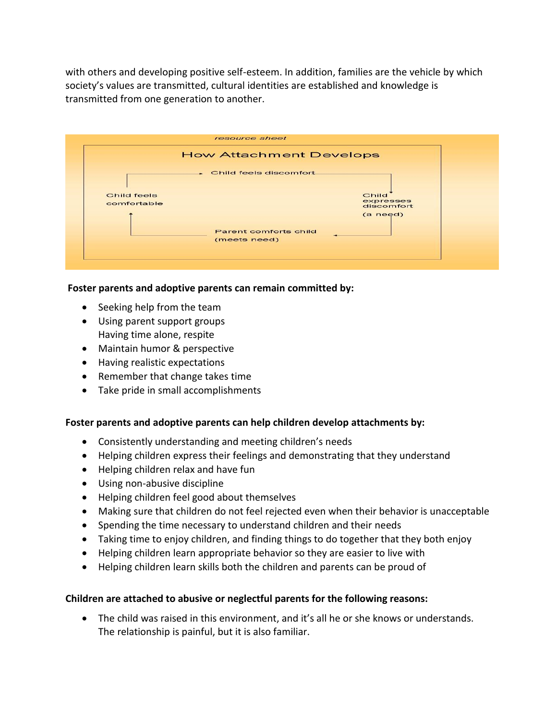with others and developing positive self-esteem. In addition, families are the vehicle by which society's values are transmitted, cultural identities are established and knowledge is transmitted from one generation to another.

|                            | <b>How Attachment Develops</b> |          |                         |
|----------------------------|--------------------------------|----------|-------------------------|
|                            | Child feels discomfort.        |          |                         |
| Child feels<br>comfortable |                                | Child    | expresses<br>discomfort |
|                            |                                | (a need) |                         |
|                            | Parent comforts child          |          |                         |
|                            | (meets need)                   |          |                         |

### **Foster parents and adoptive parents can remain committed by:**

- Seeking help from the team
- Using parent support groups Having time alone, respite
- Maintain humor & perspective
- Having realistic expectations
- Remember that change takes time
- Take pride in small accomplishments

### **Foster parents and adoptive parents can help children develop attachments by:**

- Consistently understanding and meeting children's needs
- Helping children express their feelings and demonstrating that they understand
- Helping children relax and have fun
- Using non-abusive discipline
- Helping children feel good about themselves
- Making sure that children do not feel rejected even when their behavior is unacceptable
- Spending the time necessary to understand children and their needs
- Taking time to enjoy children, and finding things to do together that they both enjoy
- Helping children learn appropriate behavior so they are easier to live with
- Helping children learn skills both the children and parents can be proud of

### **Children are attached to abusive or neglectful parents for the following reasons:**

 The child was raised in this environment, and it's all he or she knows or understands. The relationship is painful, but it is also familiar.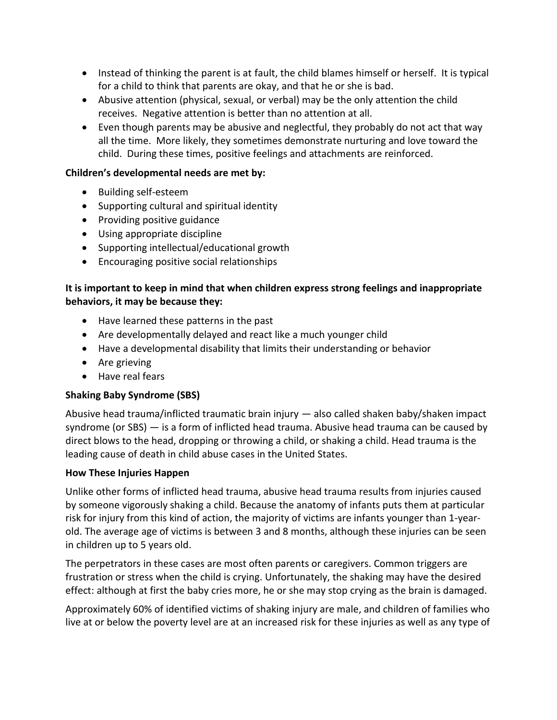- Instead of thinking the parent is at fault, the child blames himself or herself. It is typical for a child to think that parents are okay, and that he or she is bad.
- Abusive attention (physical, sexual, or verbal) may be the only attention the child receives. Negative attention is better than no attention at all.
- Even though parents may be abusive and neglectful, they probably do not act that way all the time. More likely, they sometimes demonstrate nurturing and love toward the child. During these times, positive feelings and attachments are reinforced.

## **Children's developmental needs are met by:**

- Building self-esteem
- Supporting cultural and spiritual identity
- Providing positive guidance
- Using appropriate discipline
- Supporting intellectual/educational growth
- Encouraging positive social relationships

## **It is important to keep in mind that when children express strong feelings and inappropriate behaviors, it may be because they:**

- Have learned these patterns in the past
- Are developmentally delayed and react like a much younger child
- Have a developmental disability that limits their understanding or behavior
- Are grieving
- Have real fears

## **Shaking Baby Syndrome (SBS)**

Abusive head trauma/inflicted traumatic brain injury — also called shaken baby/shaken impact syndrome (or SBS) — is a form of inflicted head trauma. Abusive head trauma can be caused by direct blows to the head, dropping or throwing a child, or shaking a child. Head trauma is the leading cause of death in child abuse cases in the United States.

### **How These Injuries Happen**

Unlike other forms of inflicted head trauma, abusive head trauma results from injuries caused by someone vigorously shaking a child. Because the anatomy of infants puts them at particular risk for injury from this kind of action, the majority of victims are infants younger than 1-yearold. The average age of victims is between 3 and 8 months, although these injuries can be seen in children up to 5 years old.

The perpetrators in these cases are most often parents or caregivers. Common triggers are frustration or stress when the child is crying. Unfortunately, the shaking may have the desired effect: although at first the baby cries more, he or she may stop crying as the brain is damaged.

Approximately 60% of identified victims of shaking injury are male, and children of families who live at or below the poverty level are at an increased risk for these injuries as well as any type of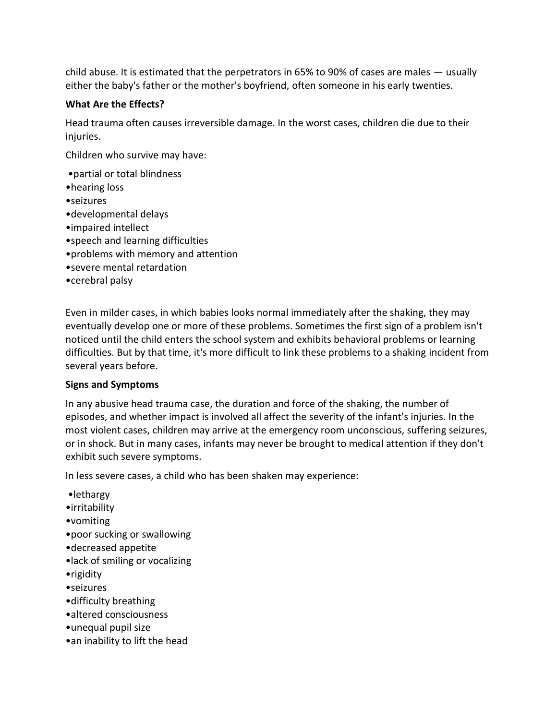child abuse. It is estimated that the perpetrators in 65% to 90% of cases are males — usually either the baby's father or the mother's boyfriend, often someone in his early twenties.

## **What Are the Effects?**

Head trauma often causes irreversible damage. In the worst cases, children die due to their injuries.

Children who survive may have:

- •partial or total blindness
- •hearing loss
- •seizures
- •developmental delays
- •impaired intellect
- •speech and learning difficulties
- •problems with memory and attention
- •severe mental retardation
- •cerebral palsy

Even in milder cases, in which babies looks normal immediately after the shaking, they may eventually develop one or more of these problems. Sometimes the first sign of a problem isn't noticed until the child enters the school system and exhibits behavioral problems or learning difficulties. But by that time, it's more difficult to link these problems to a shaking incident from several years before.

### **Signs and Symptoms**

In any abusive head trauma case, the duration and force of the shaking, the number of episodes, and whether impact is involved all affect the severity of the infant's injuries. In the most violent cases, children may arrive at the emergency room unconscious, suffering seizures, or in shock. But in many cases, infants may never be brought to medical attention if they don't exhibit such severe symptoms.

In less severe cases, a child who has been shaken may experience:

- •lethargy
- •irritability
- •vomiting
- •poor sucking or swallowing
- •decreased appetite
- •lack of smiling or vocalizing
- •rigidity
- •seizures
- •difficulty breathing
- •altered consciousness
- •unequal pupil size
- •an inability to lift the head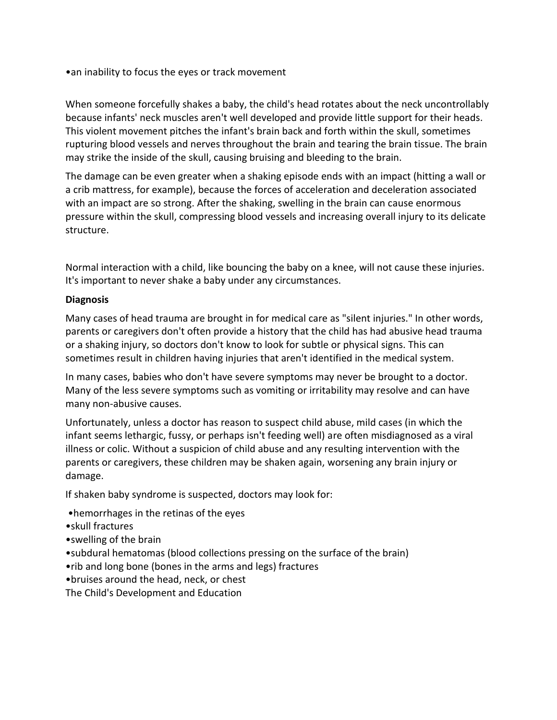•an inability to focus the eyes or track movement

When someone forcefully shakes a baby, the child's head rotates about the neck uncontrollably because infants' neck muscles aren't well developed and provide little support for their heads. This violent movement pitches the infant's brain back and forth within the skull, sometimes rupturing blood vessels and nerves throughout the brain and tearing the brain tissue. The brain may strike the inside of the skull, causing bruising and bleeding to the brain.

The damage can be even greater when a shaking episode ends with an impact (hitting a wall or a crib mattress, for example), because the forces of acceleration and deceleration associated with an impact are so strong. After the shaking, swelling in the brain can cause enormous pressure within the skull, compressing blood vessels and increasing overall injury to its delicate structure.

Normal interaction with a child, like bouncing the baby on a knee, will not cause these injuries. It's important to never shake a baby under any circumstances.

### **Diagnosis**

Many cases of head trauma are brought in for medical care as "silent injuries." In other words, parents or caregivers don't often provide a history that the child has had abusive head trauma or a shaking injury, so doctors don't know to look for subtle or physical signs. This can sometimes result in children having injuries that aren't identified in the medical system.

In many cases, babies who don't have severe symptoms may never be brought to a doctor. Many of the less severe symptoms such as vomiting or irritability may resolve and can have many non-abusive causes.

Unfortunately, unless a doctor has reason to suspect child abuse, mild cases (in which the infant seems lethargic, fussy, or perhaps isn't feeding well) are often misdiagnosed as a viral illness or colic. Without a suspicion of child abuse and any resulting intervention with the parents or caregivers, these children may be shaken again, worsening any brain injury or damage.

If shaken baby syndrome is suspected, doctors may look for:

- •hemorrhages in the retinas of the eyes
- •skull fractures
- •swelling of the brain
- •subdural hematomas (blood collections pressing on the surface of the brain)
- •rib and long bone (bones in the arms and legs) fractures
- •bruises around the head, neck, or chest

The Child's Development and Education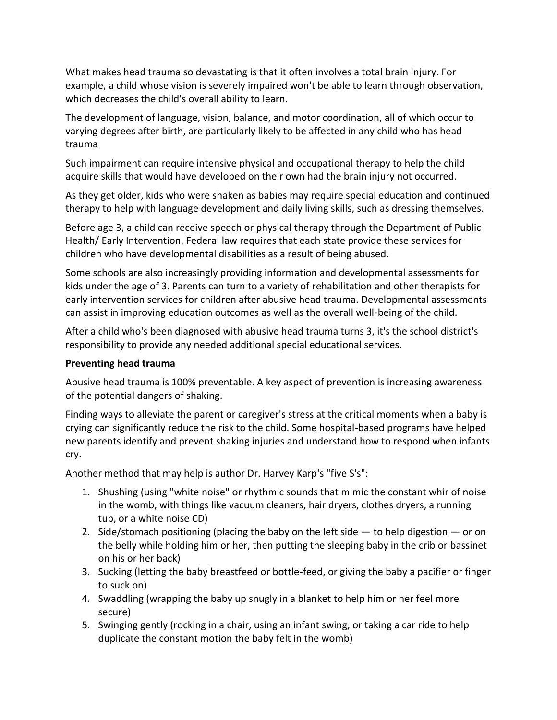What makes head trauma so devastating is that it often involves a total brain injury. For example, a child whose vision is severely impaired won't be able to learn through observation, which decreases the child's overall ability to learn.

The development of language, vision, balance, and motor coordination, all of which occur to varying degrees after birth, are particularly likely to be affected in any child who has head trauma

Such impairment can require intensive physical and occupational therapy to help the child acquire skills that would have developed on their own had the brain injury not occurred.

As they get older, kids who were shaken as babies may require special education and continued therapy to help with language development and daily living skills, such as dressing themselves.

Before age 3, a child can receive speech or physical therapy through the Department of Public Health/ Early Intervention. Federal law requires that each state provide these services for children who have developmental disabilities as a result of being abused.

Some schools are also increasingly providing information and developmental assessments for kids under the age of 3. Parents can turn to a variety of rehabilitation and other therapists for early intervention services for children after abusive head trauma. Developmental assessments can assist in improving education outcomes as well as the overall well-being of the child.

After a child who's been diagnosed with abusive head trauma turns 3, it's the school district's responsibility to provide any needed additional special educational services.

### **Preventing head trauma**

Abusive head trauma is 100% preventable. A key aspect of prevention is increasing awareness of the potential dangers of shaking.

Finding ways to alleviate the parent or caregiver's stress at the critical moments when a baby is crying can significantly reduce the risk to the child. Some hospital-based programs have helped new parents identify and prevent shaking injuries and understand how to respond when infants cry.

Another method that may help is author Dr. Harvey Karp's "five S's":

- 1. Shushing (using "white noise" or rhythmic sounds that mimic the constant whir of noise in the womb, with things like vacuum cleaners, hair dryers, clothes dryers, a running tub, or a white noise CD)
- 2. Side/stomach positioning (placing the baby on the left side  $-$  to help digestion  $-$  or on the belly while holding him or her, then putting the sleeping baby in the crib or bassinet on his or her back)
- 3. Sucking (letting the baby breastfeed or bottle-feed, or giving the baby a pacifier or finger to suck on)
- 4. Swaddling (wrapping the baby up snugly in a blanket to help him or her feel more secure)
- 5. Swinging gently (rocking in a chair, using an infant swing, or taking a car ride to help duplicate the constant motion the baby felt in the womb)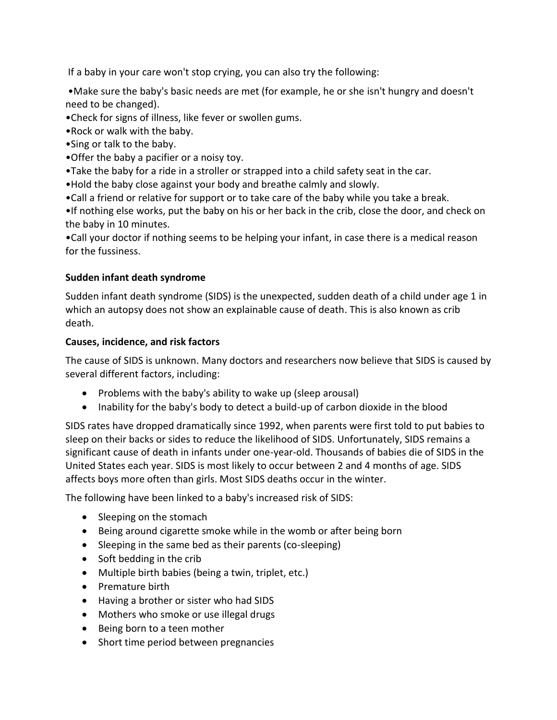If a baby in your care won't stop crying, you can also try the following:

•Make sure the baby's basic needs are met (for example, he or she isn't hungry and doesn't need to be changed).

- •Check for signs of illness, like fever or swollen gums.
- •Rock or walk with the baby.
- •Sing or talk to the baby.
- •Offer the baby a pacifier or a noisy toy.
- •Take the baby for a ride in a stroller or strapped into a child safety seat in the car.
- •Hold the baby close against your body and breathe calmly and slowly.
- •Call a friend or relative for support or to take care of the baby while you take a break.

•If nothing else works, put the baby on his or her back in the crib, close the door, and check on the baby in 10 minutes.

•Call your doctor if nothing seems to be helping your infant, in case there is a medical reason for the fussiness.

## **Sudden infant death syndrome**

Sudden infant death syndrome (SIDS) is the unexpected, sudden death of a child under age 1 in which an autopsy does not show an explainable cause of death. This is also known as crib death.

## **Causes, incidence, and risk factors**

The cause of SIDS is unknown. Many doctors and researchers now believe that SIDS is caused by several different factors, including:

- Problems with the baby's ability to wake up (sleep arousal)
- Inability for the baby's body to detect a build-up of carbon dioxide in the blood

SIDS rates have dropped dramatically since 1992, when parents were first told to put babies to sleep on their backs or sides to reduce the likelihood of SIDS. Unfortunately, SIDS remains a significant cause of death in infants under one-year-old. Thousands of babies die of SIDS in the United States each year. SIDS is most likely to occur between 2 and 4 months of age. SIDS affects boys more often than girls. Most SIDS deaths occur in the winter.

The following have been linked to a baby's increased risk of SIDS:

- Sleeping on the stomach
- Being around cigarette smoke while in the womb or after being born
- Sleeping in the same bed as their parents (co-sleeping)
- $\bullet$  Soft bedding in the crib
- Multiple birth babies (being a twin, triplet, etc.)
- Premature birth
- Having a brother or sister who had SIDS
- Mothers who smoke or use illegal drugs
- Being born to a teen mother
- Short time period between pregnancies